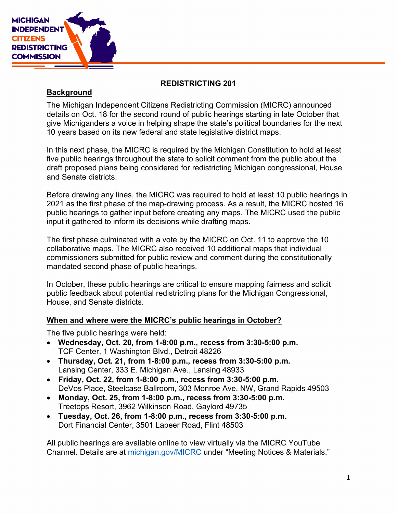

### REDISTRICTING 201

#### **Background**

The Michigan Independent Citizens Redistricting Commission (MICRC) announced details on Oct. 18 for the second round of public hearings starting in late October that give Michiganders a voice in helping shape the state's political boundaries for the next 10 years based on its new federal and state legislative district maps.

In this next phase, the MICRC is required by the Michigan Constitution to hold at least five public hearings throughout the state to solicit comment from the public about the draft proposed plans being considered for redistricting Michigan congressional, House and Senate districts.

Before drawing any lines, the MICRC was required to hold at least 10 public hearings in 2021 as the first phase of the map-drawing process. As a result, the MICRC hosted 16 public hearings to gather input before creating any maps. The MICRC used the public input it gathered to inform its decisions while drafting maps.

The first phase culminated with a vote by the MICRC on Oct. 11 to approve the 10 collaborative maps. The MICRC also received 10 additional maps that individual commissioners submitted for public review and comment during the constitutionally mandated second phase of public hearings.

In October, these public hearings are critical to ensure mapping fairness and solicit public feedback about potential redistricting plans for the Michigan Congressional, House, and Senate districts.

#### When and where were the MICRC's public hearings in October?

The five public hearings were held:

- Wednesday, Oct. 20, from 1-8:00 p.m., recess from 3:30-5:00 p.m. TCF Center, 1 Washington Blvd., Detroit 48226
- Thursday, Oct. 21, from 1-8:00 p.m., recess from 3:30-5:00 p.m. Lansing Center, 333 E. Michigan Ave., Lansing 48933
- Friday, Oct. 22, from 1-8:00 p.m., recess from  $3:30-5:00$  p.m. DeVos Place, Steelcase Ballroom, 303 Monroe Ave. NW, Grand Rapids 49503
- $\bullet$  Monday, Oct. 25, from 1-8:00 p.m., recess from 3:30-5:00 p.m. Treetops Resort, 3962 Wilkinson Road, Gaylord 49735
- Tuesday, Oct. 26, from 1-8:00 p.m., recess from 3:30-5:00 p.m. Dort Financial Center, 3501 Lapeer Road, Flint 48503

All public hearings are available online to view virtually via the MICRC YouTube Channel. Details are at michigan.gov/MICRC under "Meeting Notices & Materials."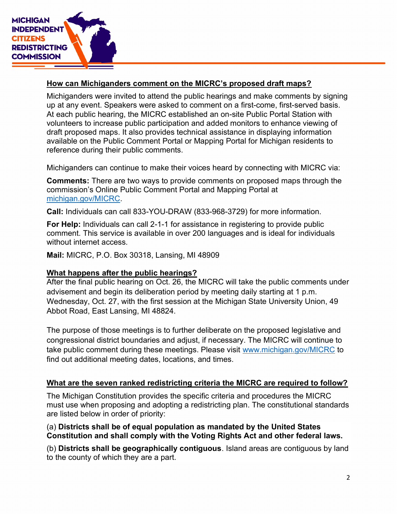

# How can Michiganders comment on the MICRC's proposed draft maps?

Michiganders were invited to attend the public hearings and make comments by signing up at any event. Speakers were asked to comment on a first-come, first-served basis. At each public hearing, the MICRC established an on-site Public Portal Station with volunteers to increase public participation and added monitors to enhance viewing of draft proposed maps. It also provides technical assistance in displaying information available on the Public Comment Portal or Mapping Portal for Michigan residents to reference during their public comments.

Michiganders can continue to make their voices heard by connecting with MICRC via:

Comments: There are two ways to provide comments on proposed maps through the commission's Online Public Comment Portal and Mapping Portal at michigan.gov/MICRC.

Call: Individuals can call 833-YOU-DRAW (833-968-3729) for more information.

For Help: Individuals can call 2-1-1 for assistance in registering to provide public comment. This service is available in over 200 languages and is ideal for individuals without internet access.

Mail: MICRC, P.O. Box 30318, Lansing, MI 48909

# What happens after the public hearings?

After the final public hearing on Oct. 26, the MICRC will take the public comments under advisement and begin its deliberation period by meeting daily starting at 1 p.m. Wednesday, Oct. 27, with the first session at the Michigan State University Union, 49 Abbot Road, East Lansing, MI 48824.

The purpose of those meetings is to further deliberate on the proposed legislative and congressional district boundaries and adjust, if necessary. The MICRC will continue to take public comment during these meetings. Please visit www.michigan.gov/MICRC to find out additional meeting dates, locations, and times.

# What are the seven ranked redistricting criteria the MICRC are required to follow?

The Michigan Constitution provides the specific criteria and procedures the MICRC must use when proposing and adopting a redistricting plan. The constitutional standards are listed below in order of priority:

# (a) Districts shall be of equal population as mandated by the United States Constitution and shall comply with the Voting Rights Act and other federal laws.

(b) Districts shall be geographically contiguous. Island areas are contiguous by land to the county of which they are a part.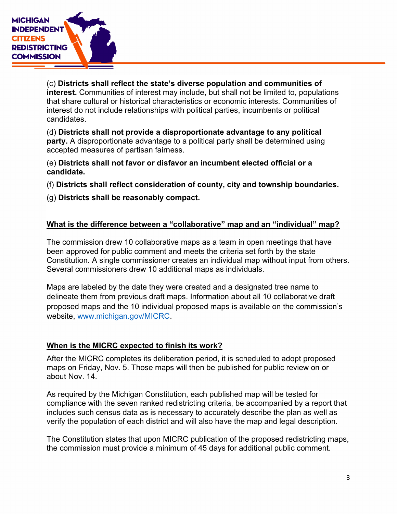

(c) Districts shall reflect the state's diverse population and communities of interest. Communities of interest may include, but shall not be limited to, populations that share cultural or historical characteristics or economic interests. Communities of interest do not include relationships with political parties, incumbents or political candidates.

(d) Districts shall not provide a disproportionate advantage to any political party. A disproportionate advantage to a political party shall be determined using accepted measures of partisan fairness.

(e) Districts shall not favor or disfavor an incumbent elected official or a candidate.

(f) Districts shall reflect consideration of county, city and township boundaries.

(g) Districts shall be reasonably compact.

# What is the difference between a "collaborative" map and an "individual" map?

The commission drew 10 collaborative maps as a team in open meetings that have been approved for public comment and meets the criteria set forth by the state Constitution. A single commissioner creates an individual map without input from others. Several commissioners drew 10 additional maps as individuals.

Maps are labeled by the date they were created and a designated tree name to delineate them from previous draft maps. Information about all 10 collaborative draft proposed maps and the 10 individual proposed maps is available on the commission's website, www.michigan.gov/MICRC.

#### When is the MICRC expected to finish its work?

After the MICRC completes its deliberation period, it is scheduled to adopt proposed maps on Friday, Nov. 5. Those maps will then be published for public review on or about Nov. 14.

As required by the Michigan Constitution, each published map will be tested for compliance with the seven ranked redistricting criteria, be accompanied by a report that includes such census data as is necessary to accurately describe the plan as well as verify the population of each district and will also have the map and legal description.

The Constitution states that upon MICRC publication of the proposed redistricting maps, the commission must provide a minimum of 45 days for additional public comment.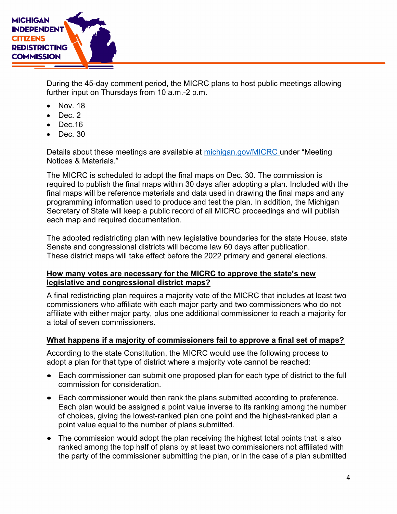

During the 45-day comment period, the MICRC plans to host public meetings allowing further input on Thursdays from 10 a.m.-2 p.m.

- Nov. 18
- Dec. 2
- $\bullet$  Dec.16
- $\bullet$  Dec. 30

Details about these meetings are available at michigan.gov/MICRC under "Meeting Notices & Materials."

The MICRC is scheduled to adopt the final maps on Dec. 30. The commission is required to publish the final maps within 30 days after adopting a plan. Included with the final maps will be reference materials and data used in drawing the final maps and any programming information used to produce and test the plan. In addition, the Michigan Secretary of State will keep a public record of all MICRC proceedings and will publish each map and required documentation.

The adopted redistricting plan with new legislative boundaries for the state House, state Senate and congressional districts will become law 60 days after publication. These district maps will take effect before the 2022 primary and general elections.

#### How many votes are necessary for the MICRC to approve the state's new legislative and congressional district maps?

A final redistricting plan requires a majority vote of the MICRC that includes at least two commissioners who affiliate with each major party and two commissioners who do not affiliate with either major party, plus one additional commissioner to reach a majority for a total of seven commissioners.

# What happens if a majority of commissioners fail to approve a final set of maps?

According to the state Constitution, the MICRC would use the following process to adopt a plan for that type of district where a majority vote cannot be reached:

- Each commissioner can submit one proposed plan for each type of district to the full commission for consideration.
- Each commissioner would then rank the plans submitted according to preference. Each plan would be assigned a point value inverse to its ranking among the number of choices, giving the lowest-ranked plan one point and the highest-ranked plan a point value equal to the number of plans submitted.
- The commission would adopt the plan receiving the highest total points that is also ranked among the top half of plans by at least two commissioners not affiliated with the party of the commissioner submitting the plan, or in the case of a plan submitted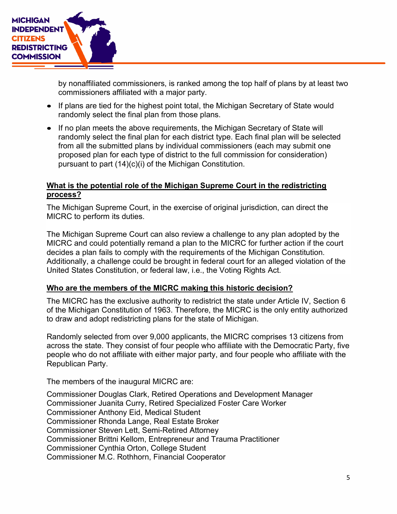

by nonaffiliated commissioners, is ranked among the top half of plans by at least two commissioners affiliated with a major party.

- If plans are tied for the highest point total, the Michigan Secretary of State would randomly select the final plan from those plans.
- If no plan meets the above requirements, the Michigan Secretary of State will randomly select the final plan for each district type. Each final plan will be selected from all the submitted plans by individual commissioners (each may submit one proposed plan for each type of district to the full commission for consideration) pursuant to part (14)(c)(i) of the Michigan Constitution.

#### What is the potential role of the Michigan Supreme Court in the redistricting process?

The Michigan Supreme Court, in the exercise of original jurisdiction, can direct the MICRC to perform its duties.

The Michigan Supreme Court can also review a challenge to any plan adopted by the MICRC and could potentially remand a plan to the MICRC for further action if the court decides a plan fails to comply with the requirements of the Michigan Constitution. Additionally, a challenge could be brought in federal court for an alleged violation of the United States Constitution, or federal law, i.e., the Voting Rights Act.

#### Who are the members of the MICRC making this historic decision?

The MICRC has the exclusive authority to redistrict the state under Article IV, Section 6 of the Michigan Constitution of 1963. Therefore, the MICRC is the only entity authorized to draw and adopt redistricting plans for the state of Michigan.

Randomly selected from over 9,000 applicants, the MICRC comprises 13 citizens from across the state. They consist of four people who affiliate with the Democratic Party, five people who do not affiliate with either major party, and four people who affiliate with the Republican Party.

The members of the inaugural MICRC are:

Commissioner Douglas Clark, Retired Operations and Development Manager Commissioner Juanita Curry, Retired Specialized Foster Care Worker Commissioner Anthony Eid, Medical Student Commissioner Rhonda Lange, Real Estate Broker Commissioner Steven Lett, Semi-Retired Attorney Commissioner Brittni Kellom, Entrepreneur and Trauma Practitioner Commissioner Cynthia Orton, College Student Commissioner M.C. Rothhorn, Financial Cooperator